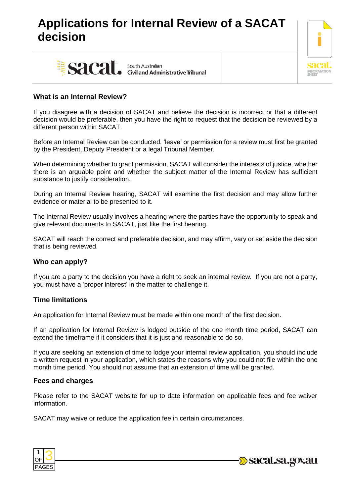# **Applications for Internal Review of a SACAT decision**





## **What is an Internal Review?**

If you disagree with a decision of SACAT and believe the decision is incorrect or that a different decision would be preferable, then you have the right to request that the decision be reviewed by a different person within SACAT.

Before an Internal Review can be conducted, 'leave' or permission for a review must first be granted by the President, Deputy President or a legal Tribunal Member.

When determining whether to grant permission, SACAT will consider the interests of justice, whether there is an arguable point and whether the subject matter of the Internal Review has sufficient substance to justify consideration.

During an Internal Review hearing, SACAT will examine the first decision and may allow further evidence or material to be presented to it.

The Internal Review usually involves a hearing where the parties have the opportunity to speak and give relevant documents to SACAT, just like the first hearing.

SACAT will reach the correct and preferable decision, and may affirm, vary or set aside the decision that is being reviewed.

## **Who can apply?**

If you are a party to the decision you have a right to seek an internal review. If you are not a party, you must have a 'proper interest' in the matter to challenge it.

## **Time limitations**

An application for Internal Review must be made within one month of the first decision.

If an application for Internal Review is lodged outside of the one month time period, SACAT can extend the timeframe if it considers that it is just and reasonable to do so.

If you are seeking an extension of time to lodge your internal review application, you should include a written request in your application, which states the reasons why you could not file within the one month time period. You should not assume that an extension of time will be granted.

## **Fees and charges**

Please refer to the SACAT website for up to date information on applicable fees and fee waiver information.

SACAT may waive or reduce the application fee in certain circumstances.



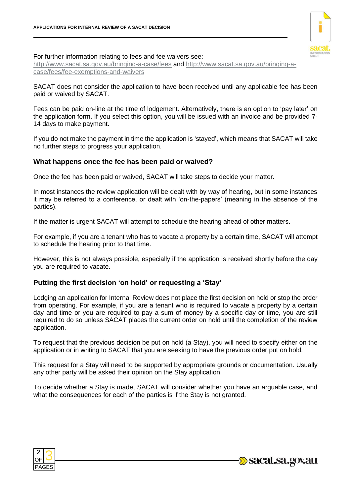

#### For further information relating to fees and fee waivers see:

<http://www.sacat.sa.gov.au/bringing-a-case/fees> and [http://www.sacat.sa.gov.au/bringing-a](http://www.sacat.sa.gov.au/bringing-a-case/fees/fee-exemptions-and-waivers)[case/fees/fee-exemptions-and-waivers](http://www.sacat.sa.gov.au/bringing-a-case/fees/fee-exemptions-and-waivers)

SACAT does not consider the application to have been received until any applicable fee has been paid or waived by SACAT.

Fees can be paid on-line at the time of lodgement. Alternatively, there is an option to 'pay later' on the application form. If you select this option, you will be issued with an invoice and be provided 7- 14 days to make payment.

If you do not make the payment in time the application is 'stayed', which means that SACAT will take no further steps to progress your application.

## **What happens once the fee has been paid or waived?**

Once the fee has been paid or waived, SACAT will take steps to decide your matter.

In most instances the review application will be dealt with by way of hearing, but in some instances it may be referred to a conference, or dealt with 'on-the-papers' (meaning in the absence of the parties).

If the matter is urgent SACAT will attempt to schedule the hearing ahead of other matters.

For example, if you are a tenant who has to vacate a property by a certain time, SACAT will attempt to schedule the hearing prior to that time.

However, this is not always possible, especially if the application is received shortly before the day you are required to vacate.

# **Putting the first decision 'on hold' or requesting a 'Stay'**

Lodging an application for Internal Review does not place the first decision on hold or stop the order from operating. For example, if you are a tenant who is required to vacate a property by a certain day and time or you are required to pay a sum of money by a specific day or time, you are still required to do so unless SACAT places the current order on hold until the completion of the review application.

To request that the previous decision be put on hold (a Stay), you will need to specify either on the application or in writing to SACAT that you are seeking to have the previous order put on hold.

This request for a Stay will need to be supported by appropriate grounds or documentation. Usually any other party will be asked their opinion on the Stay application.

To decide whether a Stay is made, SACAT will consider whether you have an arguable case, and what the consequences for each of the parties is if the Stay is not granted.